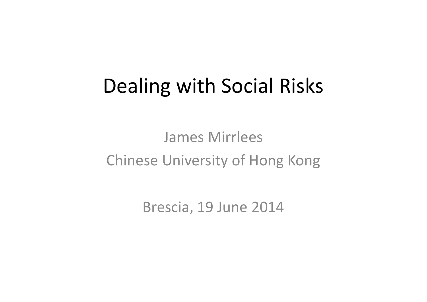## Dealing with Social Risks

James Mirrlees Chinese University of Hong Kong

Brescia, 19 June 2014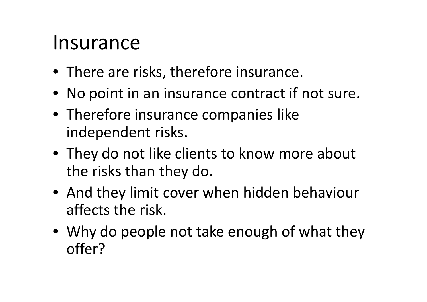#### Insurance

- There are risks, therefore insurance.
- No point in an insurance contract if not sure.
- Therefore insurance companies like independent risks.
- They do not like clients to know more about the risks than they do.
- And they limit cover when hidden behaviour affects the risk.
- Why do people not take enough of what they offer?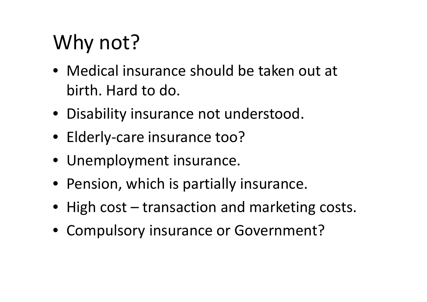# Why not?

- Medical insurance should be taken out at birth. Hard to do.
- Disability insurance not understood.
- Elderly-care insurance too?
- Unemployment insurance.
- Pension, which is partially insurance.
- High cost transaction and marketing costs.
- Compulsory insurance or Government?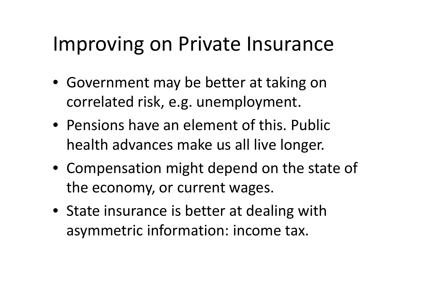#### Improving on Private Insurance

- Government may be better at taking on correlated risk, e.g. unemployment.
- Pensions have an element of this. Public health advances make us all live longer.
- Compensation might depend on the state of the economy, or current wages.
- State insurance is better at dealing with asymmetric information: income tax.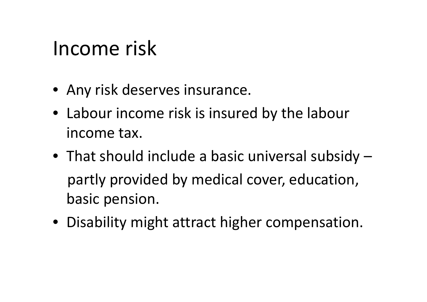### Income risk

- Any risk deserves insurance.
- Labour income risk is insured by the labour income tax.
- That should include a basic universal subsidy partly provided by medical cover, education, basic pension.
- Disability might attract higher compensation.